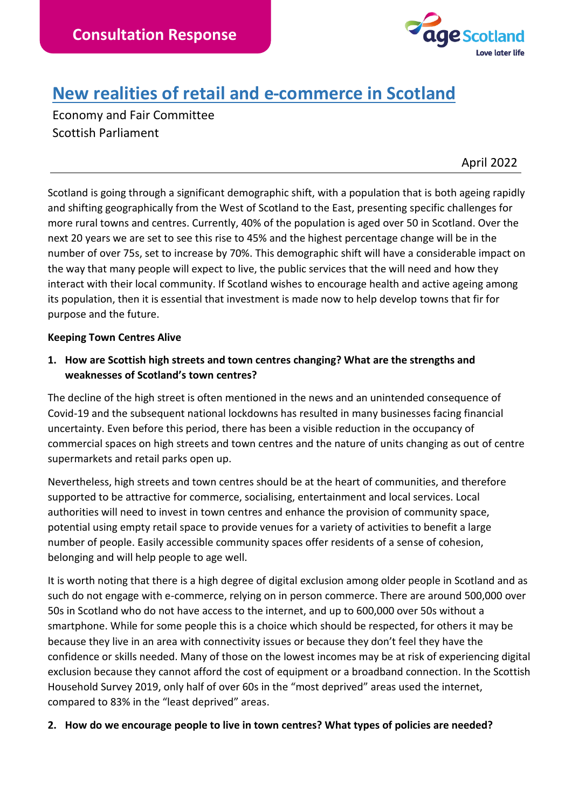

# **New realities of retail and e-commerce in Scotland**

Economy and Fair Committee Scottish Parliament

April 2022

Scotland is going through a significant demographic shift, with a population that is both ageing rapidly and shifting geographically from the West of Scotland to the East, presenting specific challenges for more rural towns and centres. Currently, 40% of the population is aged over 50 in Scotland. Over the next 20 years we are set to see this rise to 45% and the highest percentage change will be in the number of over 75s, set to increase by 70%. This demographic shift will have a considerable impact on the way that many people will expect to live, the public services that the will need and how they interact with their local community. If Scotland wishes to encourage health and active ageing among its population, then it is essential that investment is made now to help develop towns that fir for purpose and the future.

#### **Keeping Town Centres Alive**

**1. How are Scottish high streets and town centres changing? What are the strengths and weaknesses of Scotland's town centres?** 

The decline of the high street is often mentioned in the news and an unintended consequence of Covid-19 and the subsequent national lockdowns has resulted in many businesses facing financial uncertainty. Even before this period, there has been a visible reduction in the occupancy of commercial spaces on high streets and town centres and the nature of units changing as out of centre supermarkets and retail parks open up.

Nevertheless, high streets and town centres should be at the heart of communities, and therefore supported to be attractive for commerce, socialising, entertainment and local services. Local authorities will need to invest in town centres and enhance the provision of community space, potential using empty retail space to provide venues for a variety of activities to benefit a large number of people. Easily accessible community spaces offer residents of a sense of cohesion, belonging and will help people to age well.

It is worth noting that there is a high degree of digital exclusion among older people in Scotland and as such do not engage with e-commerce, relying on in person commerce. There are around 500,000 over 50s in Scotland who do not have access to the internet, and up to 600,000 over 50s without a smartphone. While for some people this is a choice which should be respected, for others it may be because they live in an area with connectivity issues or because they don't feel they have the confidence or skills needed. Many of those on the lowest incomes may be at risk of experiencing digital exclusion because they cannot afford the cost of equipment or a broadband connection. In the Scottish Household Survey 2019, only half of over 60s in the "most deprived" areas used the internet, compared to 83% in the "least deprived" areas.

#### **2. How do we encourage people to live in town centres? What types of policies are needed?**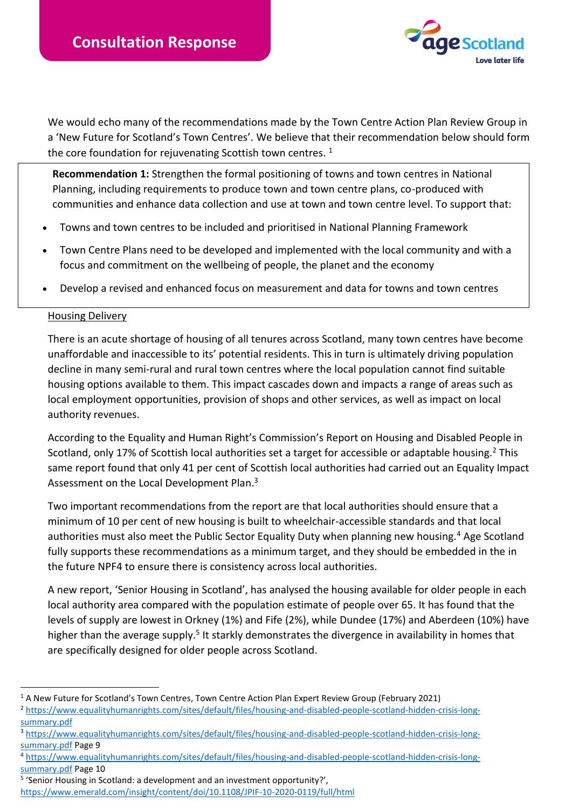

We would echo many of the recommendations made by the Town Centre Action Plan Review Group in a 'New Future for Scotland's Town Centres'. We believe that their recommendation below should form the core foundation for rejuvenating Scottish town centres.  $1$ 

**Recommendation 1:** Strengthen the formal positioning of towns and town centres in National Planning, including requirements to produce town and town centre plans, co-produced with communities and enhance data collection and use at town and town centre level. To support that:

- Towns and town centres to be included and prioritised in National Planning Framework
- Town Centre Plans need to be developed and implemented with the local community and with a focus and commitment on the wellbeing of people, the planet and the economy
- Develop a revised and enhanced focus on measurement and data for towns and town centres

#### Housing Delivery

There is an acute shortage of housing of all tenures across Scotland, many town centres have become unaffordable and inaccessible to its' potential residents. This in turn is ultimately driving population decline in many semi-rural and rural town centres where the local population cannot find suitable housing options available to them. This impact cascades down and impacts a range of areas such as local employment opportunities, provision of shops and other services, as well as impact on local authority revenues.

According to the Equality and Human Right's Commission's Report on Housing and Disabled People in Scotland, only 17% of Scottish local authorities set a target for accessible or adaptable housing.<sup>2</sup> This same report found that only 41 per cent of Scottish local authorities had carried out an Equality Impact Assessment on the Local Development Plan.<sup>3</sup>

Two important recommendations from the report are that local authorities should ensure that a minimum of 10 per cent of new housing is built to wheelchair-accessible standards and that local authorities must also meet the Public Sector Equality Duty when planning new housing.<sup>4</sup> Age Scotland fully supports these recommendations as a minimum target, and they should be embedded in the in the future NPF4 to ensure there is consistency across local authorities.

A new report, 'Senior Housing in Scotland', has analysed the housing available for older people in each local authority area compared with the population estimate of people over 65. It has found that the levels of supply are lowest in Orkney (1%) and Fife (2%), while Dundee (17%) and Aberdeen (10%) have higher than the average supply.<sup>5</sup> It starkly demonstrates the divergence in availability in homes that are specifically designed for older people across Scotland.

 $1$  A New Future for Scotland's Town Centres, Town Centre Action Plan Expert Review Group (February 2021)

<sup>2</sup> [https://www.equalityhumanrights.com/sites/default/files/housing-and-disabled-people-scotland-hidden-crisis-long](https://www.equalityhumanrights.com/sites/default/files/housing-and-disabled-people-scotland-hidden-crisis-long-summary.pdf)[summary.pdf](https://www.equalityhumanrights.com/sites/default/files/housing-and-disabled-people-scotland-hidden-crisis-long-summary.pdf)

<sup>3</sup> [https://www.equalityhumanrights.com/sites/default/files/housing-and-disabled-people-scotland-hidden-crisis-long](https://www.equalityhumanrights.com/sites/default/files/housing-and-disabled-people-scotland-hidden-crisis-long-summary.pdf)[summary.pdf](https://www.equalityhumanrights.com/sites/default/files/housing-and-disabled-people-scotland-hidden-crisis-long-summary.pdf) Page 9

<sup>4</sup> [https://www.equalityhumanrights.com/sites/default/files/housing-and-disabled-people-scotland-hidden-crisis-long](https://www.equalityhumanrights.com/sites/default/files/housing-and-disabled-people-scotland-hidden-crisis-long-summary.pdf)[summary.pdf](https://www.equalityhumanrights.com/sites/default/files/housing-and-disabled-people-scotland-hidden-crisis-long-summary.pdf) Page 10

<sup>&</sup>lt;sup>5</sup> 'Senior Housing in Scotland: a development and an investment opportunity?',

<https://www.emerald.com/insight/content/doi/10.1108/JPIF-10-2020-0119/full/html>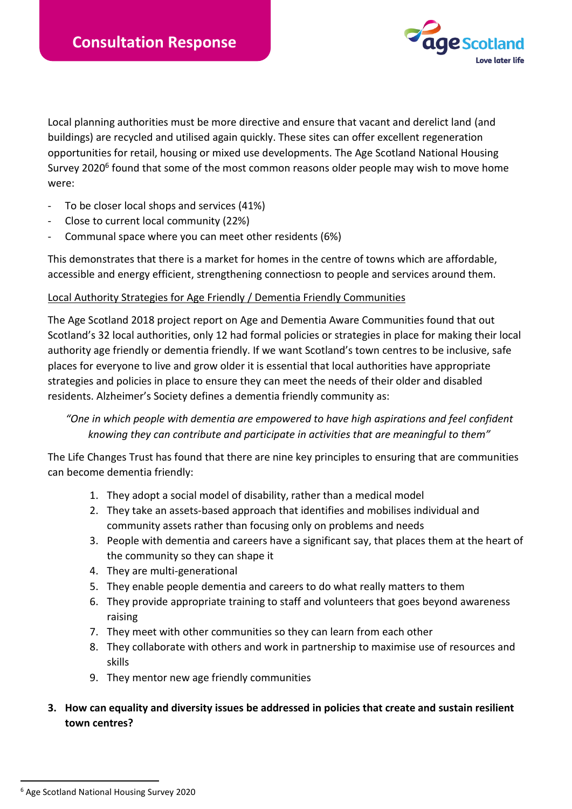

Local planning authorities must be more directive and ensure that vacant and derelict land (and buildings) are recycled and utilised again quickly. These sites can offer excellent regeneration opportunities for retail, housing or mixed use developments. The Age Scotland National Housing Survey 2020<sup>6</sup> found that some of the most common reasons older people may wish to move home were:

- To be closer local shops and services (41%)
- Close to current local community (22%)
- Communal space where you can meet other residents (6%)

This demonstrates that there is a market for homes in the centre of towns which are affordable, accessible and energy efficient, strengthening connectiosn to people and services around them.

### Local Authority Strategies for Age Friendly / Dementia Friendly Communities

The Age Scotland 2018 project report on Age and Dementia Aware Communities found that out Scotland's 32 local authorities, only 12 had formal policies or strategies in place for making their local authority age friendly or dementia friendly. If we want Scotland's town centres to be inclusive, safe places for everyone to live and grow older it is essential that local authorities have appropriate strategies and policies in place to ensure they can meet the needs of their older and disabled residents. Alzheimer's Society defines a dementia friendly community as:

# *"One in which people with dementia are empowered to have high aspirations and feel confident knowing they can contribute and participate in activities that are meaningful to them"*

The Life Changes Trust has found that there are nine key principles to ensuring that are communities can become dementia friendly:

- 1. They adopt a social model of disability, rather than a medical model
- 2. They take an assets-based approach that identifies and mobilises individual and community assets rather than focusing only on problems and needs
- 3. People with dementia and careers have a significant say, that places them at the heart of the community so they can shape it
- 4. They are multi-generational
- 5. They enable people dementia and careers to do what really matters to them
- 6. They provide appropriate training to staff and volunteers that goes beyond awareness raising
- 7. They meet with other communities so they can learn from each other
- 8. They collaborate with others and work in partnership to maximise use of resources and skills
- 9. They mentor new age friendly communities
- **3. How can equality and diversity issues be addressed in policies that create and sustain resilient town centres?**

<sup>6</sup> Age Scotland National Housing Survey 2020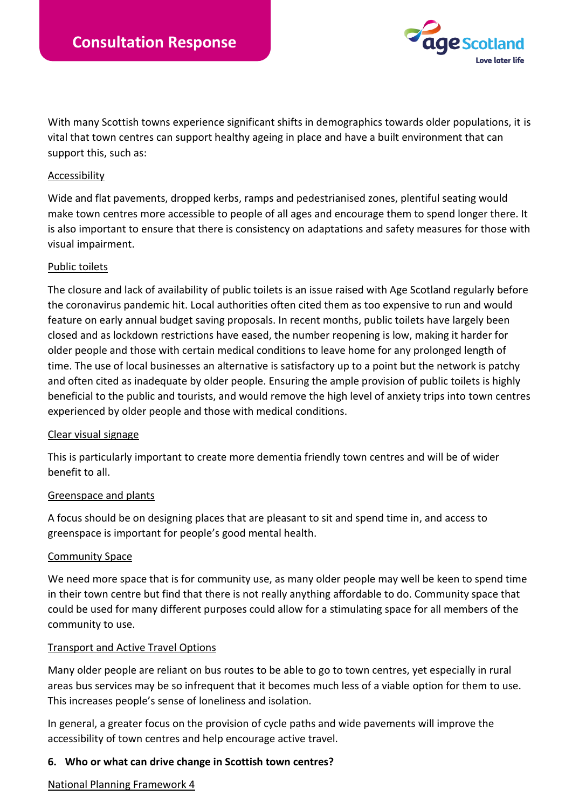

With many Scottish towns experience significant shifts in demographics towards older populations, it is vital that town centres can support healthy ageing in place and have a built environment that can support this, such as:

#### Accessibility

Wide and flat pavements, dropped kerbs, ramps and pedestrianised zones, plentiful seating would make town centres more accessible to people of all ages and encourage them to spend longer there. It is also important to ensure that there is consistency on adaptations and safety measures for those with visual impairment.

#### Public toilets

The closure and lack of availability of public toilets is an issue raised with Age Scotland regularly before the coronavirus pandemic hit. Local authorities often cited them as too expensive to run and would feature on early annual budget saving proposals. In recent months, public toilets have largely been closed and as lockdown restrictions have eased, the number reopening is low, making it harder for older people and those with certain medical conditions to leave home for any prolonged length of time. The use of local businesses an alternative is satisfactory up to a point but the network is patchy and often cited as inadequate by older people. Ensuring the ample provision of public toilets is highly beneficial to the public and tourists, and would remove the high level of anxiety trips into town centres experienced by older people and those with medical conditions.

#### Clear visual signage

This is particularly important to create more dementia friendly town centres and will be of wider benefit to all.

#### Greenspace and plants

A focus should be on designing places that are pleasant to sit and spend time in, and access to greenspace is important for people's good mental health.

#### Community Space

We need more space that is for community use, as many older people may well be keen to spend time in their town centre but find that there is not really anything affordable to do. Community space that could be used for many different purposes could allow for a stimulating space for all members of the community to use.

#### Transport and Active Travel Options

Many older people are reliant on bus routes to be able to go to town centres, yet especially in rural areas bus services may be so infrequent that it becomes much less of a viable option for them to use. This increases people's sense of loneliness and isolation.

In general, a greater focus on the provision of cycle paths and wide pavements will improve the accessibility of town centres and help encourage active travel.

#### **6. Who or what can drive change in Scottish town centres?**

#### National Planning Framework 4